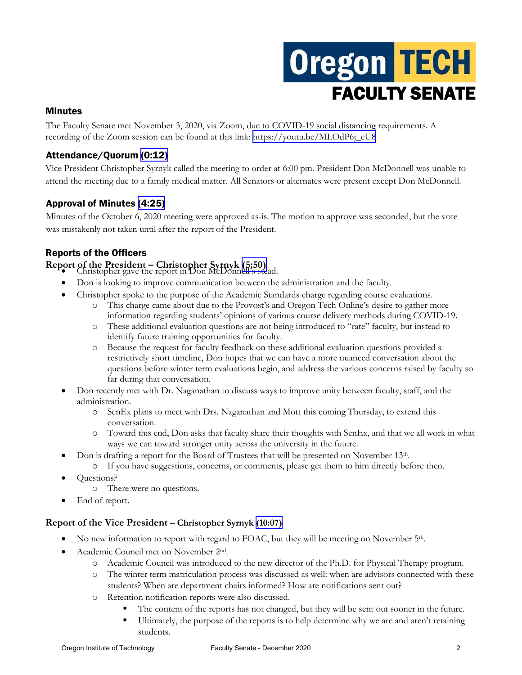

### Minutes

The Faculty Senate met November 3, 2020, via Zoom, due to COVID-19 social distancing requirements. A recording of the Zoom session can be found at this link: [https://youtu.be/MLOdP6j\\_cU8](https://youtu.be/MLOdP6j_cU8)

# Attendance/Quorum [\(0:12\)](https://youtu.be/MLOdP6j_cU8?t=11)

Vice President Christopher Syrnyk called the meeting to order at 6:00 pm. President Don McDonnell was unable to attend the meeting due to a family medical matter. All Senators or alternates were present except Don McDonnell.

# Approval of Minutes [\(4:25\)](https://youtu.be/MLOdP6j_cU8?t=262)

Minutes of the October 6, 2020 meeting were approved as-is. The motion to approve was seconded, but the vote was mistakenly not taken until after the report of the President.

# Reports of the Officers

**Report of the President – Christopher Syrnyk [\(5:50\)](https://youtu.be/MLOdP6j_cU8?t=349)** • Christopher gave the report in Don McDonnell's stead.

- Don is looking to improve communication between the administration and the faculty.
- Christopher spoke to the purpose of the Academic Standards charge regarding course evaluations.
	- o This charge came about due to the Provost's and Oregon Tech Online's desire to gather more information regarding students' opinions of various course delivery methods during COVID-19.
	- o These additional evaluation questions are not being introduced to "rate" faculty, but instead to identify future training opportunities for faculty.
	- o Because the request for faculty feedback on these additional evaluation questions provided a restrictively short timeline, Don hopes that we can have a more nuanced conversation about the questions before winter term evaluations begin, and address the various concerns raised by faculty so far during that conversation.
- Don recently met with Dr. Naganathan to discuss ways to improve unity between faculty, staff, and the administration.
	- o SenEx plans to meet with Drs. Naganathan and Mott this coming Thursday, to extend this conversation.
	- o Toward this end, Don asks that faculty share their thoughts with SenEx, and that we all work in what ways we can toward stronger unity across the university in the future.
- Don is drafting a report for the Board of Trustees that will be presented on November 13th.
	- o If you have suggestions, concerns, or comments, please get them to him directly before then.
- Questions?
	- o There were no questions.
- End of report.

### **Report of the Vice President – Christopher Syrnyk [\(10:07\)](https://youtu.be/MLOdP6j_cU8?t=606)**

- No new information to report with regard to FOAC, but they will be meeting on November 5<sup>th</sup>.
- Academic Council met on November 2nd.
	- o Academic Council was introduced to the new director of the Ph.D. for Physical Therapy program.
	- o The winter term matriculation process was discussed as well: when are advisors connected with these students? When are department chairs informed? How are notifications sent out?
	- o Retention notification reports were also discussed.
		- The content of the reports has not changed, but they will be sent out sooner in the future.
		- Ultimately, the purpose of the reports is to help determine why we are and aren't retaining students.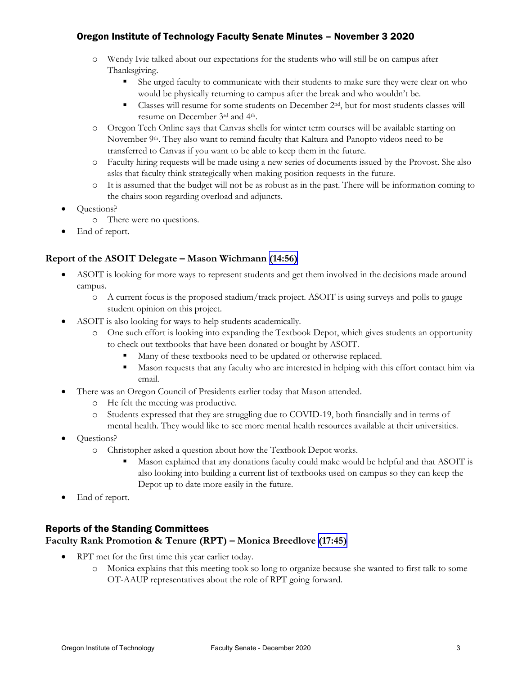- o Wendy Ivie talked about our expectations for the students who will still be on campus after Thanksgiving.
	- She urged faculty to communicate with their students to make sure they were clear on who would be physically returning to campus after the break and who wouldn't be.
	- Classes will resume for some students on December  $2<sup>nd</sup>$ , but for most students classes will resume on December 3rd and 4th.
- o Oregon Tech Online says that Canvas shells for winter term courses will be available starting on November 9<sup>th</sup>. They also want to remind faculty that Kaltura and Panopto videos need to be transferred to Canvas if you want to be able to keep them in the future.
- o Faculty hiring requests will be made using a new series of documents issued by the Provost. She also asks that faculty think strategically when making position requests in the future.
- o It is assumed that the budget will not be as robust as in the past. There will be information coming to the chairs soon regarding overload and adjuncts.
- Questions?
	- o There were no questions.
- End of report.

# **Report of the ASOIT Delegate – Mason Wichmann [\(14:56\)](https://youtu.be/MLOdP6j_cU8?t=895)**

- ASOIT is looking for more ways to represent students and get them involved in the decisions made around campus.
	- o A current focus is the proposed stadium/track project. ASOIT is using surveys and polls to gauge student opinion on this project.
- ASOIT is also looking for ways to help students academically.
	- o One such effort is looking into expanding the Textbook Depot, which gives students an opportunity to check out textbooks that have been donated or bought by ASOIT.
		- Many of these textbooks need to be updated or otherwise replaced.
		- **■** Mason requests that any faculty who are interested in helping with this effort contact him via email.
	- There was an Oregon Council of Presidents earlier today that Mason attended.
		- o He felt the meeting was productive.
		- o Students expressed that they are struggling due to COVID-19, both financially and in terms of mental health. They would like to see more mental health resources available at their universities.
- Ouestions?
	- o Christopher asked a question about how the Textbook Depot works.
		- Mason explained that any donations faculty could make would be helpful and that ASOIT is also looking into building a current list of textbooks used on campus so they can keep the Depot up to date more easily in the future.
- End of report.

# Reports of the Standing Committees

### **Faculty Rank Promotion & Tenure (RPT) – Monica Breedlove [\(17:45\)](https://youtu.be/MLOdP6j_cU8?t=1062)**

- RPT met for the first time this year earlier today.
	- o Monica explains that this meeting took so long to organize because she wanted to first talk to some OT-AAUP representatives about the role of RPT going forward.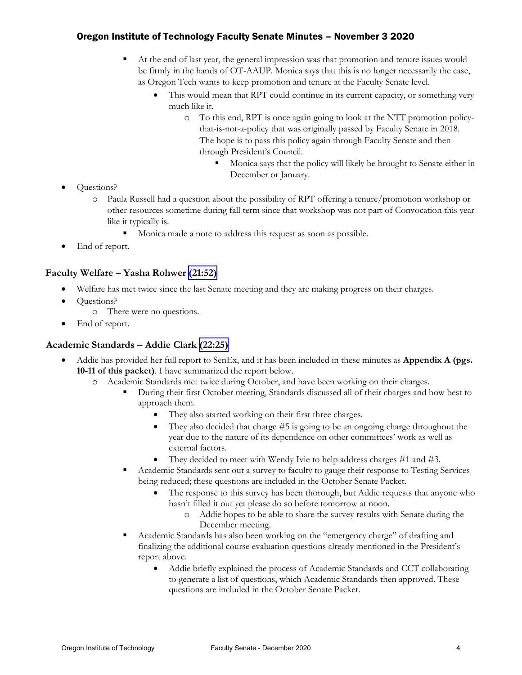- At the end of last year, the general impression was that promotion and tenure issues would be firmly in the hands of OT-AAUP. Monica says that this is no longer necessarily the case, as Oregon Tech wants to keep promotion and tenure at the Faculty Senate level.
	- This would mean that RPT could continue in its current capacity, or something very much like it.
		- o To this end, RPT is once again going to look at the NTT promotion policythat-is-not-a-policy that was originally passed by Faculty Senate in 2018. The hope is to pass this policy again through Faculty Senate and then through President's Council.
			- Monica says that the policy will likely be brought to Senate either in December or January.

- Questions?
	- o Paula Russell had a question about the possibility of RPT offering a tenure/promotion workshop or other resources sometime during fall term since that workshop was not part of Convocation this year like it typically is.
		- Monica made a note to address this request as soon as possible.
- End of report.

### **Faculty Welfare – Yasha Rohwer [\(21:52\)](https://youtu.be/MLOdP6j_cU8?t=1311)**

- Welfare has met twice since the last Senate meeting and they are making progress on their charges.
- Ouestions?
	- o There were no questions.
- End of report.

### **Academic Standards – Addie Clark [\(22:25\)](https://youtu.be/MLOdP6j_cU8?t=1343)**

- Addie has provided her full report to SenEx, and it has been included in these minutes as **Appendix A (pgs. 10-11 of this packet)**. I have summarized the report below.
	- o Academic Standards met twice during October, and have been working on their charges.
		- During their first October meeting, Standards discussed all of their charges and how best to approach them.
			- They also started working on their first three charges.
			- They also decided that charge #5 is going to be an ongoing charge throughout the year due to the nature of its dependence on other committees' work as well as external factors.
			- They decided to meet with Wendy Ivie to help address charges #1 and #3.
		- Academic Standards sent out a survey to faculty to gauge their response to Testing Services being reduced; these questions are included in the October Senate Packet.
			- The response to this survey has been thorough, but Addie requests that anyone who hasn't filled it out yet please do so before tomorrow at noon.
				- o Addie hopes to be able to share the survey results with Senate during the December meeting.
		- Academic Standards has also been working on the "emergency charge" of drafting and finalizing the additional course evaluation questions already mentioned in the President's report above.
			- Addie briefly explained the process of Academic Standards and CCT collaborating to generate a list of questions, which Academic Standards then approved. These questions are included in the October Senate Packet.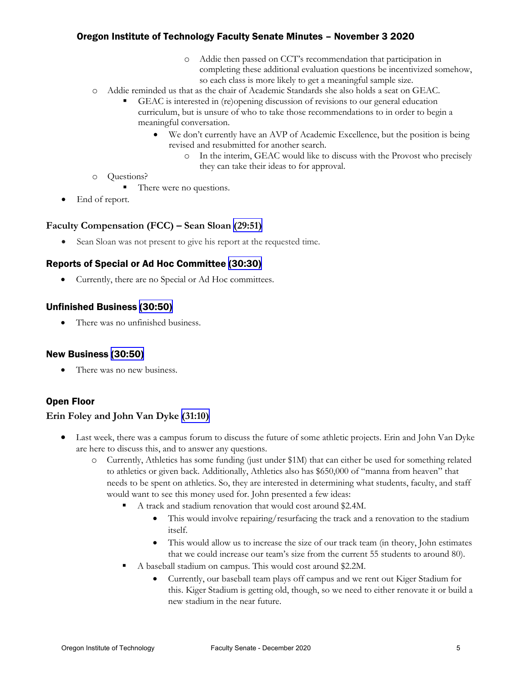- o Addie then passed on CCT's recommendation that participation in completing these additional evaluation questions be incentivized somehow, so each class is more likely to get a meaningful sample size.
- o Addie reminded us that as the chair of Academic Standards she also holds a seat on GEAC.
	- GEAC is interested in (re)opening discussion of revisions to our general education curriculum, but is unsure of who to take those recommendations to in order to begin a meaningful conversation.
		- We don't currently have an AVP of Academic Excellence, but the position is being revised and resubmitted for another search.
			- o In the interim, GEAC would like to discuss with the Provost who precisely they can take their ideas to for approval.
- o Questions?
	- There were no questions.
- End of report.

#### **Faculty Compensation (FCC) – Sean Sloan [\(29:51\)](https://youtu.be/MLOdP6j_cU8?t=1793)**

• Sean Sloan was not present to give his report at the requested time.

### Reports of Special or Ad Hoc Committee [\(30:30\)](https://youtu.be/MLOdP6j_cU8?t=1830)

• Currently, there are no Special or Ad Hoc committees.

#### Unfinished Business [\(30:50\)](https://youtu.be/MLOdP6j_cU8?t=1848)

There was no unfinished business.

### New Business [\(30:50\)](https://youtu.be/MLOdP6j_cU8?t=1848)

There was no new business.

### Open Floor

#### **Erin Foley and John Van Dyke [\(31:10\)](https://youtu.be/MLOdP6j_cU8?t=1867)**

- Last week, there was a campus forum to discuss the future of some athletic projects. Erin and John Van Dyke are here to discuss this, and to answer any questions.
	- o Currently, Athletics has some funding (just under \$1M) that can either be used for something related to athletics or given back. Additionally, Athletics also has \$650,000 of "manna from heaven" that needs to be spent on athletics. So, they are interested in determining what students, faculty, and staff would want to see this money used for. John presented a few ideas:
		- A track and stadium renovation that would cost around \$2.4M.
			- This would involve repairing/resurfacing the track and a renovation to the stadium itself.
			- This would allow us to increase the size of our track team (in theory, John estimates that we could increase our team's size from the current 55 students to around 80).
		- A baseball stadium on campus. This would cost around \$2.2M.
			- Currently, our baseball team plays off campus and we rent out Kiger Stadium for this. Kiger Stadium is getting old, though, so we need to either renovate it or build a new stadium in the near future.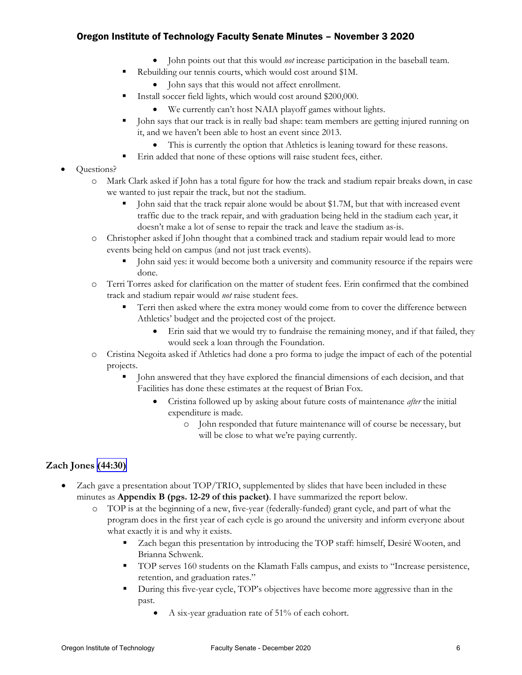- John points out that this would *not* increase participation in the baseball team.
- Rebuilding our tennis courts, which would cost around \$1M.
	- John says that this would not affect enrollment.
- Install soccer field lights, which would cost around \$200,000.
	- We currently can't host NAIA playoff games without lights.
- John says that our track is in really bad shape: team members are getting injured running on it, and we haven't been able to host an event since 2013.
	- This is currently the option that Athletics is leaning toward for these reasons.
- Erin added that none of these options will raise student fees, either.
- Questions?
	- o Mark Clark asked if John has a total figure for how the track and stadium repair breaks down, in case we wanted to just repair the track, but not the stadium.
		- John said that the track repair alone would be about \$1.7M, but that with increased event traffic due to the track repair, and with graduation being held in the stadium each year, it doesn't make a lot of sense to repair the track and leave the stadium as-is.
	- o Christopher asked if John thought that a combined track and stadium repair would lead to more events being held on campus (and not just track events).
		- John said yes: it would become both a university and community resource if the repairs were done.
	- o Terri Torres asked for clarification on the matter of student fees. Erin confirmed that the combined track and stadium repair would *not* raise student fees.
		- Terri then asked where the extra money would come from to cover the difference between Athletics' budget and the projected cost of the project.
			- Erin said that we would try to fundraise the remaining money, and if that failed, they would seek a loan through the Foundation.
	- o Cristina Negoita asked if Athletics had done a pro forma to judge the impact of each of the potential projects.
		- John answered that they have explored the financial dimensions of each decision, and that Facilities has done these estimates at the request of Brian Fox.
			- Cristina followed up by asking about future costs of maintenance *after* the initial expenditure is made.
				- o John responded that future maintenance will of course be necessary, but will be close to what we're paying currently.

# **Zach Jones [\(44:30\)](https://youtu.be/MLOdP6j_cU8?t=2669)**

- Zach gave a presentation about TOP/TRIO, supplemented by slides that have been included in these minutes as **Appendix B (pgs. 12-29 of this packet)**. I have summarized the report below.
	- o TOP is at the beginning of a new, five-year (federally-funded) grant cycle, and part of what the program does in the first year of each cycle is go around the university and inform everyone about what exactly it is and why it exists.
		- Zach began this presentation by introducing the TOP staff: himself, Desiré Wooten, and Brianna Schwenk.
		- **•** TOP serves 160 students on the Klamath Falls campus, and exists to "Increase persistence, retention, and graduation rates."
		- **•** During this five-year cycle, TOP's objectives have become more aggressive than in the past.
			- A six-year graduation rate of 51% of each cohort.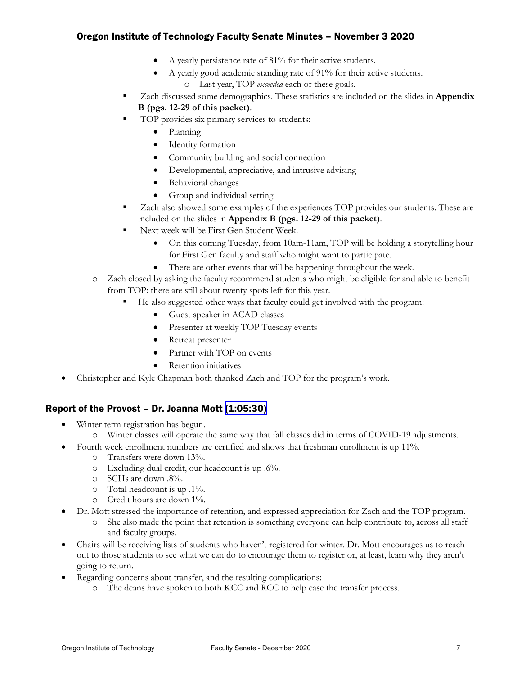- A yearly persistence rate of 81% for their active students.
- A yearly good academic standing rate of 91% for their active students.
	- o Last year, TOP *exceeded* each of these goals.
- Zach discussed some demographics. These statistics are included on the slides in **Appendix B (pgs. 12-29 of this packet)**.
- TOP provides six primary services to students:
	- Planning
	- Identity formation
	- Community building and social connection
	- Developmental, appreciative, and intrusive advising
	- Behavioral changes
	- Group and individual setting
- Zach also showed some examples of the experiences TOP provides our students. These are included on the slides in **Appendix B (pgs. 12-29 of this packet)**.
- Next week will be First Gen Student Week.
	- On this coming Tuesday, from 10am-11am, TOP will be holding a storytelling hour for First Gen faculty and staff who might want to participate.
	- There are other events that will be happening throughout the week.
- o Zach closed by asking the faculty recommend students who might be eligible for and able to benefit from TOP: there are still about twenty spots left for this year.
	- He also suggested other ways that faculty could get involved with the program:
		- Guest speaker in ACAD classes
		- Presenter at weekly TOP Tuesday events
		- Retreat presenter
		- Partner with TOP on events
		- Retention initiatives
- Christopher and Kyle Chapman both thanked Zach and TOP for the program's work.

### Report of the Provost – Dr. Joanna Mott [\(1:05:30\)](https://youtu.be/MLOdP6j_cU8?t=3932)

- Winter term registration has begun.
	- o Winter classes will operate the same way that fall classes did in terms of COVID-19 adjustments.
	- Fourth week enrollment numbers are certified and shows that freshman enrollment is up 11%.
		- o Transfers were down 13%.
		- o Excluding dual credit, our headcount is up .6%.
		- o SCHs are down .8%.
		- o Total headcount is up .1%.
		- o Credit hours are down 1%.
- Dr. Mott stressed the importance of retention, and expressed appreciation for Zach and the TOP program.
	- o She also made the point that retention is something everyone can help contribute to, across all staff and faculty groups.
- Chairs will be receiving lists of students who haven't registered for winter. Dr. Mott encourages us to reach out to those students to see what we can do to encourage them to register or, at least, learn why they aren't going to return.
- Regarding concerns about transfer, and the resulting complications:
	- o The deans have spoken to both KCC and RCC to help ease the transfer process.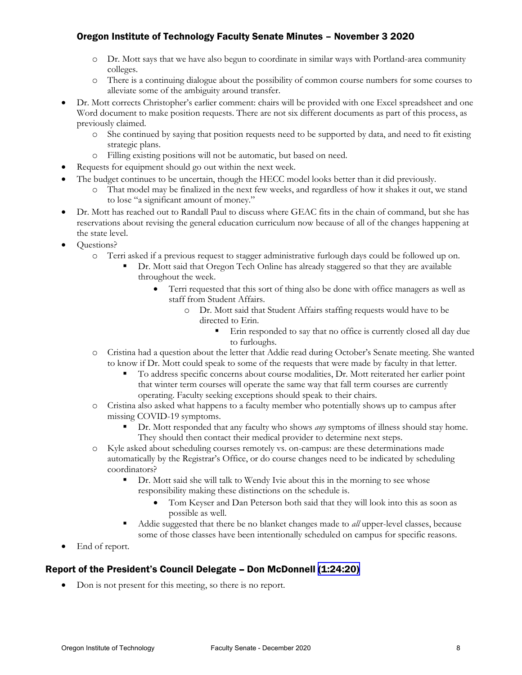- o Dr. Mott says that we have also begun to coordinate in similar ways with Portland-area community colleges.
- o There is a continuing dialogue about the possibility of common course numbers for some courses to alleviate some of the ambiguity around transfer.
- Dr. Mott corrects Christopher's earlier comment: chairs will be provided with one Excel spreadsheet and one Word document to make position requests. There are not six different documents as part of this process, as previously claimed.
	- o She continued by saying that position requests need to be supported by data, and need to fit existing strategic plans.
	- o Filling existing positions will not be automatic, but based on need.
- Requests for equipment should go out within the next week.
	- The budget continues to be uncertain, though the HECC model looks better than it did previously.
		- o That model may be finalized in the next few weeks, and regardless of how it shakes it out, we stand to lose "a significant amount of money."
- Dr. Mott has reached out to Randall Paul to discuss where GEAC fits in the chain of command, but she has reservations about revising the general education curriculum now because of all of the changes happening at the state level.
- Questions?
	- o Terri asked if a previous request to stagger administrative furlough days could be followed up on.
		- Dr. Mott said that Oregon Tech Online has already staggered so that they are available throughout the week.
			- Terri requested that this sort of thing also be done with office managers as well as staff from Student Affairs.
				- o Dr. Mott said that Student Affairs staffing requests would have to be directed to Erin.
					- Erin responded to say that no office is currently closed all day due to furloughs.
	- o Cristina had a question about the letter that Addie read during October's Senate meeting. She wanted to know if Dr. Mott could speak to some of the requests that were made by faculty in that letter.
		- To address specific concerns about course modalities, Dr. Mott reiterated her earlier point that winter term courses will operate the same way that fall term courses are currently operating. Faculty seeking exceptions should speak to their chairs.
	- o Cristina also asked what happens to a faculty member who potentially shows up to campus after missing COVID-19 symptoms.
		- Dr. Mott responded that any faculty who shows *any* symptoms of illness should stay home. They should then contact their medical provider to determine next steps.
	- o Kyle asked about scheduling courses remotely vs. on-campus: are these determinations made automatically by the Registrar's Office, or do course changes need to be indicated by scheduling coordinators?
		- Dr. Mott said she will talk to Wendy Ivie about this in the morning to see whose responsibility making these distinctions on the schedule is.
			- Tom Keyser and Dan Peterson both said that they will look into this as soon as possible as well.
		- Addie suggested that there be no blanket changes made to *all* upper-level classes, because some of those classes have been intentionally scheduled on campus for specific reasons.
- End of report.

# Report of the President's Council Delegate – Don McDonnell [\(1:24:20\)](https://youtu.be/MLOdP6j_cU8?t=5061)

• Don is not present for this meeting, so there is no report.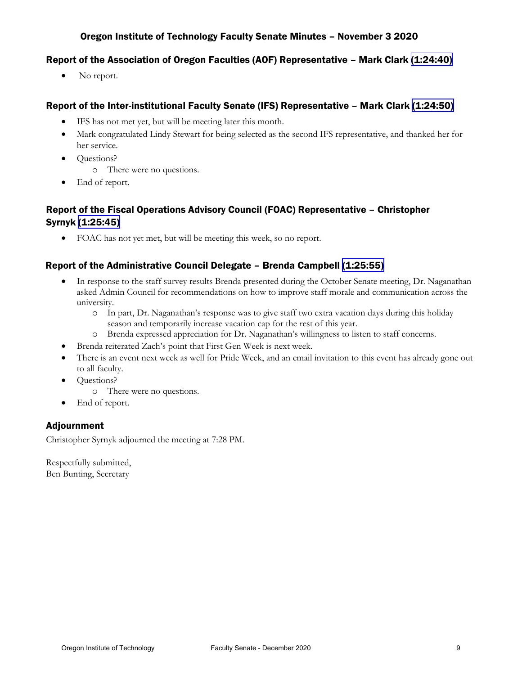## Report of the Association of Oregon Faculties (AOF) Representative – Mark Clark [\(1:24:40\)](https://youtu.be/MLOdP6j_cU8?t=5081)

• No report.

# Report of the Inter-institutional Faculty Senate (IFS) Representative – Mark Clark [\(1:24:50\)](https://youtu.be/MLOdP6j_cU8?t=5091)

- IFS has not met yet, but will be meeting later this month.
- Mark congratulated Lindy Stewart for being selected as the second IFS representative, and thanked her for her service.
- Questions?
	- o There were no questions.
- End of report.

# Report of the Fiscal Operations Advisory Council (FOAC) Representative – Christopher Syrnyk [\(1:25:45\)](https://youtu.be/MLOdP6j_cU8?t=5144)

• FOAC has not yet met, but will be meeting this week, so no report.

### Report of the Administrative Council Delegate – Brenda Campbell [\(1:25:55\)](https://youtu.be/MLOdP6j_cU8?t=5154)

- In response to the staff survey results Brenda presented during the October Senate meeting, Dr. Naganathan asked Admin Council for recommendations on how to improve staff morale and communication across the university.
	- o In part, Dr. Naganathan's response was to give staff two extra vacation days during this holiday season and temporarily increase vacation cap for the rest of this year.
	- o Brenda expressed appreciation for Dr. Naganathan's willingness to listen to staff concerns.
- Brenda reiterated Zach's point that First Gen Week is next week.
- There is an event next week as well for Pride Week, and an email invitation to this event has already gone out to all faculty.
- Questions?
	- o There were no questions.
- End of report.

### Adjournment

Christopher Syrnyk adjourned the meeting at 7:28 PM.

Respectfully submitted, Ben Bunting, Secretary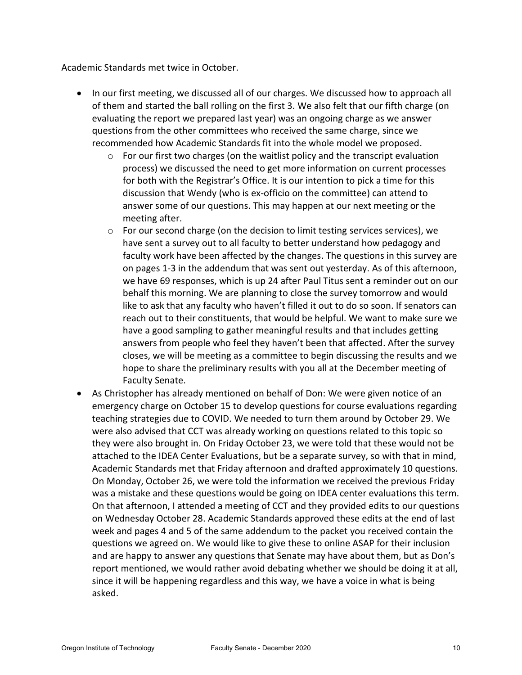Academic Standards met twice in October.

- In our first meeting, we discussed all of our charges. We discussed how to approach all of them and started the ball rolling on the first 3. We also felt that our fifth charge (on evaluating the report we prepared last year) was an ongoing charge as we answer questions from the other committees who received the same charge, since we recommended how Academic Standards fit into the whole model we proposed.
	- $\circ$  For our first two charges (on the waitlist policy and the transcript evaluation process) we discussed the need to get more information on current processes for both with the Registrar's Office. It is our intention to pick a time for this discussion that Wendy (who is ex-officio on the committee) can attend to answer some of our questions. This may happen at our next meeting or the meeting after.
	- $\circ$  For our second charge (on the decision to limit testing services services), we have sent a survey out to all faculty to better understand how pedagogy and faculty work have been affected by the changes. The questions in this survey are on pages 1-3 in the addendum that was sent out yesterday. As of this afternoon, we have 69 responses, which is up 24 after Paul Titus sent a reminder out on our behalf this morning. We are planning to close the survey tomorrow and would like to ask that any faculty who haven't filled it out to do so soon. If senators can reach out to their constituents, that would be helpful. We want to make sure we have a good sampling to gather meaningful results and that includes getting answers from people who feel they haven't been that affected. After the survey closes, we will be meeting as a committee to begin discussing the results and we hope to share the preliminary results with you all at the December meeting of Faculty Senate.
- As Christopher has already mentioned on behalf of Don: We were given notice of an emergency charge on October 15 to develop questions for course evaluations regarding teaching strategies due to COVID. We needed to turn them around by October 29. We were also advised that CCT was already working on questions related to this topic so they were also brought in. On Friday October 23, we were told that these would not be attached to the IDEA Center Evaluations, but be a separate survey, so with that in mind, Academic Standards met that Friday afternoon and drafted approximately 10 questions. On Monday, October 26, we were told the information we received the previous Friday was a mistake and these questions would be going on IDEA center evaluations this term. On that afternoon, I attended a meeting of CCT and they provided edits to our questions on Wednesday October 28. Academic Standards approved these edits at the end of last week and pages 4 and 5 of the same addendum to the packet you received contain the questions we agreed on. We would like to give these to online ASAP for their inclusion and are happy to answer any questions that Senate may have about them, but as Don's report mentioned, we would rather avoid debating whether we should be doing it at all, since it will be happening regardless and this way, we have a voice in what is being asked.